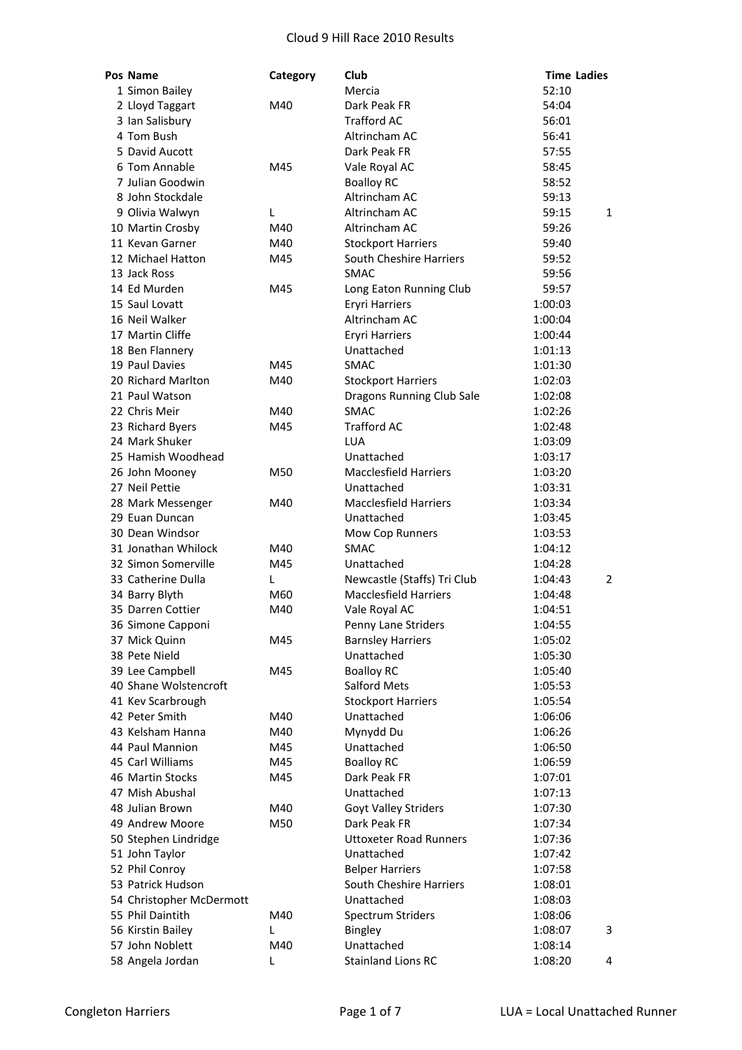| Pos Name                 | Category | Club                          | <b>Time Ladies</b> |   |
|--------------------------|----------|-------------------------------|--------------------|---|
| 1 Simon Bailey           |          | Mercia                        | 52:10              |   |
| 2 Lloyd Taggart          | M40      | Dark Peak FR                  | 54:04              |   |
| 3 Ian Salisbury          |          | <b>Trafford AC</b>            | 56:01              |   |
| 4 Tom Bush               |          | Altrincham AC                 | 56:41              |   |
| 5 David Aucott           |          | Dark Peak FR                  | 57:55              |   |
| 6 Tom Annable            | M45      | Vale Royal AC                 | 58:45              |   |
| 7 Julian Goodwin         |          | <b>Boalloy RC</b>             | 58:52              |   |
| 8 John Stockdale         |          | Altrincham AC                 | 59:13              |   |
| 9 Olivia Walwyn          | L        | Altrincham AC                 | 59:15              | 1 |
| 10 Martin Crosby         | M40      | Altrincham AC                 | 59:26              |   |
| 11 Kevan Garner          | M40      | <b>Stockport Harriers</b>     | 59:40              |   |
| 12 Michael Hatton        | M45      | South Cheshire Harriers       | 59:52              |   |
| 13 Jack Ross             |          | <b>SMAC</b>                   | 59:56              |   |
| 14 Ed Murden             | M45      | Long Eaton Running Club       | 59:57              |   |
| 15 Saul Lovatt           |          | Eryri Harriers                | 1:00:03            |   |
| 16 Neil Walker           |          | Altrincham AC                 | 1:00:04            |   |
| 17 Martin Cliffe         |          | Eryri Harriers                | 1:00:44            |   |
| 18 Ben Flannery          |          | Unattached                    | 1:01:13            |   |
| 19 Paul Davies           | M45      | <b>SMAC</b>                   | 1:01:30            |   |
| 20 Richard Marlton       | M40      | <b>Stockport Harriers</b>     | 1:02:03            |   |
| 21 Paul Watson           |          | Dragons Running Club Sale     | 1:02:08            |   |
| 22 Chris Meir            | M40      | <b>SMAC</b>                   | 1:02:26            |   |
| 23 Richard Byers         | M45      | <b>Trafford AC</b>            | 1:02:48            |   |
| 24 Mark Shuker           |          | <b>LUA</b>                    | 1:03:09            |   |
| 25 Hamish Woodhead       |          | Unattached                    | 1:03:17            |   |
| 26 John Mooney           | M50      | <b>Macclesfield Harriers</b>  | 1:03:20            |   |
| 27 Neil Pettie           |          | Unattached                    | 1:03:31            |   |
| 28 Mark Messenger        | M40      | <b>Macclesfield Harriers</b>  | 1:03:34            |   |
| 29 Euan Duncan           |          | Unattached                    | 1:03:45            |   |
| 30 Dean Windsor          |          | Mow Cop Runners               | 1:03:53            |   |
| 31 Jonathan Whilock      | M40      | <b>SMAC</b>                   | 1:04:12            |   |
| 32 Simon Somerville      | M45      | Unattached                    | 1:04:28            |   |
| 33 Catherine Dulla       | L        | Newcastle (Staffs) Tri Club   | 1:04:43            | 2 |
| 34 Barry Blyth           | M60      | <b>Macclesfield Harriers</b>  | 1:04:48            |   |
| 35 Darren Cottier        | M40      | Vale Royal AC                 | 1:04:51            |   |
| 36 Simone Capponi        |          | Penny Lane Striders           | 1:04:55            |   |
| 37 Mick Quinn            | M45      | <b>Barnsley Harriers</b>      | 1:05:02            |   |
| 38 Pete Nield            |          | Unattached                    | 1:05:30            |   |
| 39 Lee Campbell          | M45      | <b>Boalloy RC</b>             | 1:05:40            |   |
| 40 Shane Wolstencroft    |          | Salford Mets                  | 1:05:53            |   |
| 41 Kev Scarbrough        |          | <b>Stockport Harriers</b>     | 1:05:54            |   |
| 42 Peter Smith           | M40      | Unattached                    | 1:06:06            |   |
| 43 Kelsham Hanna         | M40      | Mynydd Du                     | 1:06:26            |   |
| 44 Paul Mannion          | M45      | Unattached                    | 1:06:50            |   |
| 45 Carl Williams         | M45      | <b>Boalloy RC</b>             | 1:06:59            |   |
| 46 Martin Stocks         | M45      | Dark Peak FR                  | 1:07:01            |   |
| 47 Mish Abushal          |          | Unattached                    | 1:07:13            |   |
| 48 Julian Brown          | M40      | <b>Goyt Valley Striders</b>   | 1:07:30            |   |
| 49 Andrew Moore          | M50      | Dark Peak FR                  | 1:07:34            |   |
| 50 Stephen Lindridge     |          | <b>Uttoxeter Road Runners</b> | 1:07:36            |   |
| 51 John Taylor           |          | Unattached                    | 1:07:42            |   |
| 52 Phil Conroy           |          | <b>Belper Harriers</b>        | 1:07:58            |   |
| 53 Patrick Hudson        |          | South Cheshire Harriers       | 1:08:01            |   |
| 54 Christopher McDermott |          | Unattached                    | 1:08:03            |   |
| 55 Phil Daintith         | M40      | <b>Spectrum Striders</b>      | 1:08:06            |   |
| 56 Kirstin Bailey        | L        | Bingley                       | 1:08:07            | 3 |
| 57 John Noblett          | M40      | Unattached                    | 1:08:14            |   |
| 58 Angela Jordan         | L        | <b>Stainland Lions RC</b>     | 1:08:20            | 4 |
|                          |          |                               |                    |   |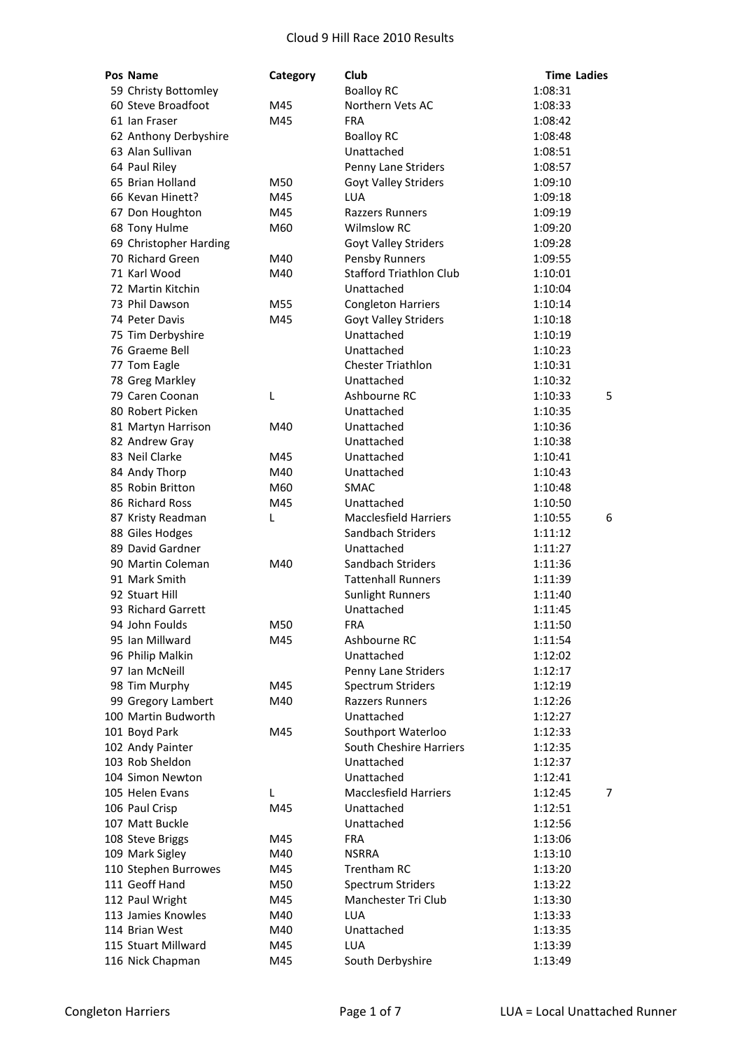| Pos Name                           | Category | Club                           | <b>Time Ladies</b> |
|------------------------------------|----------|--------------------------------|--------------------|
| 59 Christy Bottomley               |          | <b>Boalloy RC</b>              | 1:08:31            |
| 60 Steve Broadfoot                 | M45      | Northern Vets AC               | 1:08:33            |
| 61 Ian Fraser                      | M45      | <b>FRA</b>                     | 1:08:42            |
| 62 Anthony Derbyshire              |          | <b>Boalloy RC</b>              | 1:08:48            |
| 63 Alan Sullivan                   |          | Unattached                     | 1:08:51            |
| 64 Paul Riley                      |          | Penny Lane Striders            | 1:08:57            |
| 65 Brian Holland                   | M50      | <b>Goyt Valley Striders</b>    | 1:09:10            |
| 66 Kevan Hinett?                   | M45      | LUA.                           | 1:09:18            |
| 67 Don Houghton                    | M45      | <b>Razzers Runners</b>         | 1:09:19            |
| 68 Tony Hulme                      | M60      | <b>Wilmslow RC</b>             | 1:09:20            |
| 69 Christopher Harding             |          | <b>Goyt Valley Striders</b>    | 1:09:28            |
| 70 Richard Green                   | M40      | Pensby Runners                 | 1:09:55            |
| 71 Karl Wood                       | M40      | <b>Stafford Triathlon Club</b> | 1:10:01            |
| 72 Martin Kitchin                  |          | Unattached                     | 1:10:04            |
| 73 Phil Dawson                     | M55      | <b>Congleton Harriers</b>      | 1:10:14            |
| 74 Peter Davis                     | M45      | <b>Goyt Valley Striders</b>    | 1:10:18            |
| 75 Tim Derbyshire                  |          | Unattached                     | 1:10:19            |
| 76 Graeme Bell                     |          | Unattached                     | 1:10:23            |
| 77 Tom Eagle                       |          | <b>Chester Triathlon</b>       | 1:10:31            |
|                                    |          | Unattached                     | 1:10:32            |
| 78 Greg Markley<br>79 Caren Coonan | L        | Ashbourne RC                   | 5<br>1:10:33       |
|                                    |          |                                |                    |
| 80 Robert Picken                   |          | Unattached                     | 1:10:35            |
| 81 Martyn Harrison                 | M40      | Unattached                     | 1:10:36            |
| 82 Andrew Gray                     |          | Unattached                     | 1:10:38            |
| 83 Neil Clarke                     | M45      | Unattached                     | 1:10:41            |
| 84 Andy Thorp                      | M40      | Unattached                     | 1:10:43            |
| 85 Robin Britton                   | M60      | <b>SMAC</b>                    | 1:10:48            |
| 86 Richard Ross                    | M45      | Unattached                     | 1:10:50            |
| 87 Kristy Readman                  | L        | <b>Macclesfield Harriers</b>   | 6<br>1:10:55       |
| 88 Giles Hodges                    |          | Sandbach Striders              | 1:11:12            |
| 89 David Gardner                   |          | Unattached                     | 1:11:27            |
| 90 Martin Coleman                  | M40      | Sandbach Striders              | 1:11:36            |
| 91 Mark Smith                      |          | <b>Tattenhall Runners</b>      | 1:11:39            |
| 92 Stuart Hill                     |          | <b>Sunlight Runners</b>        | 1:11:40            |
| 93 Richard Garrett                 |          | Unattached                     | 1:11:45            |
| 94 John Foulds                     | M50      | <b>FRA</b>                     | 1:11:50            |
| 95 Ian Millward                    | M45      | Ashbourne RC                   | 1:11:54            |
| 96 Philip Malkin                   |          | Unattached                     | 1:12:02            |
| 97 Ian McNeill                     |          | Penny Lane Striders            | 1:12:17            |
| 98 Tim Murphy                      | M45      | <b>Spectrum Striders</b>       | 1:12:19            |
| 99 Gregory Lambert                 | M40      | Razzers Runners                | 1:12:26            |
| 100 Martin Budworth                |          | Unattached                     | 1:12:27            |
| 101 Boyd Park                      | M45      | Southport Waterloo             | 1:12:33            |
| 102 Andy Painter                   |          | South Cheshire Harriers        | 1:12:35            |
| 103 Rob Sheldon                    |          | Unattached                     | 1:12:37            |
| 104 Simon Newton                   |          | Unattached                     | 1:12:41            |
| 105 Helen Evans                    | L        | <b>Macclesfield Harriers</b>   | 1:12:45<br>7       |
| 106 Paul Crisp                     | M45      | Unattached                     | 1:12:51            |
| 107 Matt Buckle                    |          | Unattached                     | 1:12:56            |
| 108 Steve Briggs                   | M45      | <b>FRA</b>                     | 1:13:06            |
| 109 Mark Sigley                    | M40      | <b>NSRRA</b>                   | 1:13:10            |
| 110 Stephen Burrowes               | M45      | <b>Trentham RC</b>             | 1:13:20            |
| 111 Geoff Hand                     | M50      | Spectrum Striders              | 1:13:22            |
| 112 Paul Wright                    | M45      | Manchester Tri Club            | 1:13:30            |
| 113 Jamies Knowles                 | M40      | LUA                            | 1:13:33            |
| 114 Brian West                     | M40      | Unattached                     | 1:13:35            |
| 115 Stuart Millward                | M45      | <b>LUA</b>                     | 1:13:39            |
| 116 Nick Chapman                   | M45      | South Derbyshire               | 1:13:49            |
|                                    |          |                                |                    |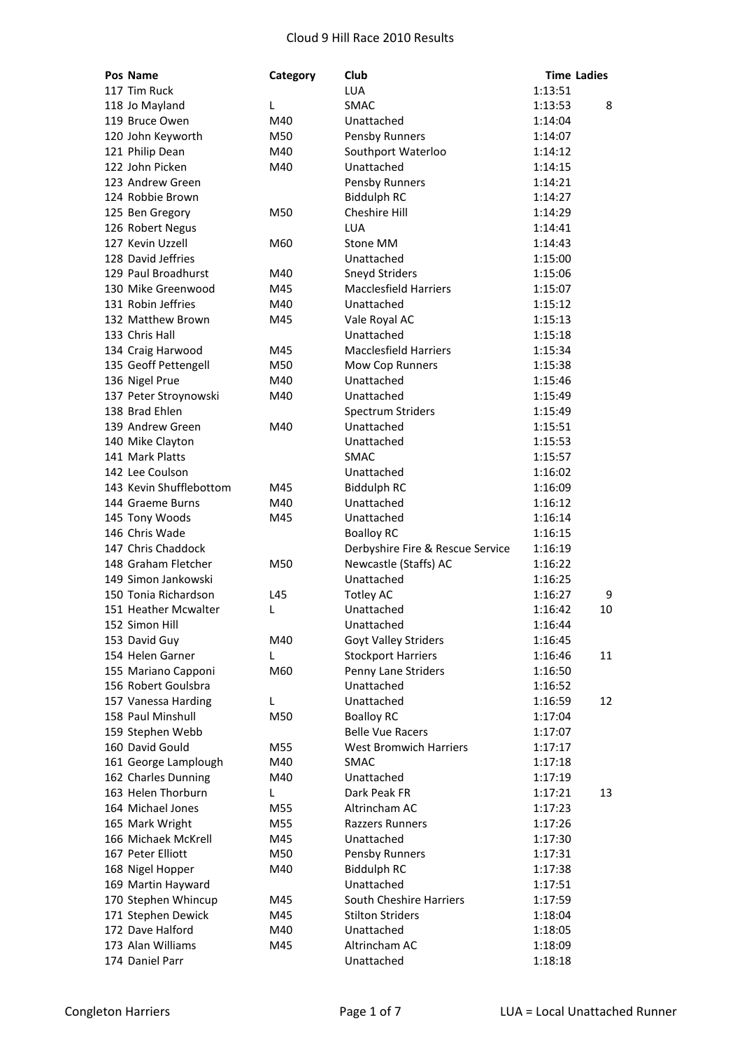| Pos Name                | Category | Club                             | <b>Time Ladies</b> |    |
|-------------------------|----------|----------------------------------|--------------------|----|
| 117 Tim Ruck            |          | <b>LUA</b>                       | 1:13:51            |    |
| 118 Jo Mayland          | L        | <b>SMAC</b>                      | 1:13:53            | 8  |
| 119 Bruce Owen          | M40      | Unattached                       | 1:14:04            |    |
| 120 John Keyworth       | M50      | Pensby Runners                   | 1:14:07            |    |
| 121 Philip Dean         | M40      | Southport Waterloo               | 1:14:12            |    |
| 122 John Picken         | M40      | Unattached                       | 1:14:15            |    |
| 123 Andrew Green        |          | <b>Pensby Runners</b>            | 1:14:21            |    |
| 124 Robbie Brown        |          | <b>Biddulph RC</b>               | 1:14:27            |    |
| 125 Ben Gregory         | M50      | Cheshire Hill                    | 1:14:29            |    |
| 126 Robert Negus        |          | <b>LUA</b>                       | 1:14:41            |    |
| 127 Kevin Uzzell        | M60      | Stone MM                         | 1:14:43            |    |
| 128 David Jeffries      |          | Unattached                       | 1:15:00            |    |
| 129 Paul Broadhurst     | M40      | <b>Sneyd Striders</b>            | 1:15:06            |    |
| 130 Mike Greenwood      | M45      | <b>Macclesfield Harriers</b>     | 1:15:07            |    |
| 131 Robin Jeffries      | M40      | Unattached                       | 1:15:12            |    |
| 132 Matthew Brown       | M45      | Vale Royal AC                    | 1:15:13            |    |
| 133 Chris Hall          |          | Unattached                       | 1:15:18            |    |
| 134 Craig Harwood       | M45      | <b>Macclesfield Harriers</b>     | 1:15:34            |    |
| 135 Geoff Pettengell    | M50      | Mow Cop Runners                  | 1:15:38            |    |
| 136 Nigel Prue          | M40      | Unattached                       | 1:15:46            |    |
| 137 Peter Stroynowski   | M40      | Unattached                       | 1:15:49            |    |
| 138 Brad Ehlen          |          | <b>Spectrum Striders</b>         | 1:15:49            |    |
| 139 Andrew Green        | M40      | Unattached                       | 1:15:51            |    |
| 140 Mike Clayton        |          | Unattached                       | 1:15:53            |    |
| 141 Mark Platts         |          | <b>SMAC</b>                      | 1:15:57            |    |
| 142 Lee Coulson         |          | Unattached                       | 1:16:02            |    |
| 143 Kevin Shufflebottom | M45      | <b>Biddulph RC</b>               | 1:16:09            |    |
| 144 Graeme Burns        | M40      | Unattached                       | 1:16:12            |    |
| 145 Tony Woods          | M45      | Unattached                       | 1:16:14            |    |
| 146 Chris Wade          |          |                                  | 1:16:15            |    |
| 147 Chris Chaddock      |          | <b>Boalloy RC</b>                |                    |    |
| 148 Graham Fletcher     |          | Derbyshire Fire & Rescue Service | 1:16:19            |    |
|                         | M50      | Newcastle (Staffs) AC            | 1:16:22            |    |
| 149 Simon Jankowski     |          | Unattached                       | 1:16:25            |    |
| 150 Tonia Richardson    | L45      | <b>Totley AC</b>                 | 1:16:27            | 9  |
| 151 Heather Mcwalter    | L        | Unattached                       | 1:16:42            | 10 |
| 152 Simon Hill          |          | Unattached                       | 1:16:44            |    |
| 153 David Guy           | M40      | <b>Goyt Valley Striders</b>      | 1:16:45            |    |
| 154 Helen Garner        | L        | <b>Stockport Harriers</b>        | 1:16:46            | 11 |
| 155 Mariano Capponi     | M60      | Penny Lane Striders              | 1:16:50            |    |
| 156 Robert Goulsbra     |          | Unattached                       | 1:16:52            |    |
| 157 Vanessa Harding     | L        | Unattached                       | 1:16:59            | 12 |
| 158 Paul Minshull       | M50      | <b>Boalloy RC</b>                | 1:17:04            |    |
| 159 Stephen Webb        |          | <b>Belle Vue Racers</b>          | 1:17:07            |    |
| 160 David Gould         | M55      | <b>West Bromwich Harriers</b>    | 1:17:17            |    |
| 161 George Lamplough    | M40      | <b>SMAC</b>                      | 1:17:18            |    |
| 162 Charles Dunning     | M40      | Unattached                       | 1:17:19            |    |
| 163 Helen Thorburn      | L        | Dark Peak FR                     | 1:17:21            | 13 |
| 164 Michael Jones       | M55      | Altrincham AC                    | 1:17:23            |    |
| 165 Mark Wright         | M55      | Razzers Runners                  | 1:17:26            |    |
| 166 Michaek McKrell     | M45      | Unattached                       | 1:17:30            |    |
| 167 Peter Elliott       | M50      | <b>Pensby Runners</b>            | 1:17:31            |    |
| 168 Nigel Hopper        | M40      | <b>Biddulph RC</b>               | 1:17:38            |    |
| 169 Martin Hayward      |          | Unattached                       | 1:17:51            |    |
| 170 Stephen Whincup     | M45      | South Cheshire Harriers          | 1:17:59            |    |
| 171 Stephen Dewick      | M45      | <b>Stilton Striders</b>          | 1:18:04            |    |
| 172 Dave Halford        | M40      | Unattached                       | 1:18:05            |    |
| 173 Alan Williams       | M45      | Altrincham AC                    | 1:18:09            |    |
| 174 Daniel Parr         |          | Unattached                       | 1:18:18            |    |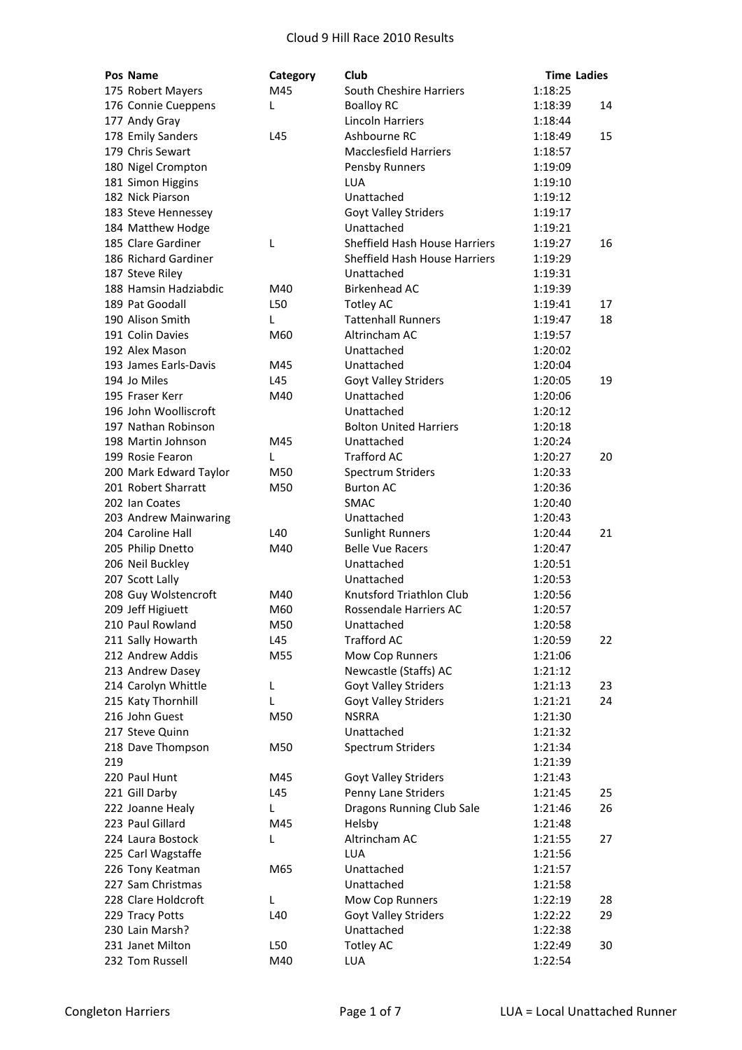| Pos Name               | Category | Club                                 | <b>Time Ladies</b> |    |
|------------------------|----------|--------------------------------------|--------------------|----|
| 175 Robert Mayers      | M45      | South Cheshire Harriers              | 1:18:25            |    |
| 176 Connie Cueppens    | L        | <b>Boalloy RC</b>                    | 1:18:39            | 14 |
| 177 Andy Gray          |          | Lincoln Harriers                     | 1:18:44            |    |
| 178 Emily Sanders      | L45      | Ashbourne RC                         | 1:18:49            | 15 |
| 179 Chris Sewart       |          | <b>Macclesfield Harriers</b>         | 1:18:57            |    |
| 180 Nigel Crompton     |          | <b>Pensby Runners</b>                | 1:19:09            |    |
| 181 Simon Higgins      |          | LUA                                  | 1:19:10            |    |
| 182 Nick Piarson       |          | Unattached                           | 1:19:12            |    |
| 183 Steve Hennessey    |          | <b>Goyt Valley Striders</b>          | 1:19:17            |    |
| 184 Matthew Hodge      |          | Unattached                           | 1:19:21            |    |
| 185 Clare Gardiner     | L        | <b>Sheffield Hash House Harriers</b> | 1:19:27            | 16 |
| 186 Richard Gardiner   |          | Sheffield Hash House Harriers        | 1:19:29            |    |
| 187 Steve Riley        |          | Unattached                           | 1:19:31            |    |
| 188 Hamsin Hadziabdic  | M40      | <b>Birkenhead AC</b>                 | 1:19:39            |    |
| 189 Pat Goodall        | L50      | <b>Totley AC</b>                     | 1:19:41            | 17 |
| 190 Alison Smith       | L        | <b>Tattenhall Runners</b>            | 1:19:47            | 18 |
| 191 Colin Davies       | M60      | Altrincham AC                        | 1:19:57            |    |
| 192 Alex Mason         |          | Unattached                           | 1:20:02            |    |
| 193 James Earls-Davis  | M45      | Unattached                           | 1:20:04            |    |
| 194 Jo Miles           | L45      | Goyt Valley Striders                 | 1:20:05            | 19 |
| 195 Fraser Kerr        | M40      | Unattached                           | 1:20:06            |    |
| 196 John Woolliscroft  |          | Unattached                           | 1:20:12            |    |
| 197 Nathan Robinson    |          | <b>Bolton United Harriers</b>        | 1:20:18            |    |
| 198 Martin Johnson     | M45      | Unattached                           | 1:20:24            |    |
| 199 Rosie Fearon       | L        | <b>Trafford AC</b>                   | 1:20:27            | 20 |
| 200 Mark Edward Taylor | M50      | <b>Spectrum Striders</b>             | 1:20:33            |    |
| 201 Robert Sharratt    | M50      | <b>Burton AC</b>                     | 1:20:36            |    |
| 202 Ian Coates         |          | <b>SMAC</b>                          | 1:20:40            |    |
| 203 Andrew Mainwaring  |          | Unattached                           | 1:20:43            |    |
| 204 Caroline Hall      | L40      | <b>Sunlight Runners</b>              | 1:20:44            | 21 |
| 205 Philip Dnetto      | M40      | <b>Belle Vue Racers</b>              | 1:20:47            |    |
| 206 Neil Buckley       |          | Unattached                           | 1:20:51            |    |
| 207 Scott Lally        |          | Unattached                           | 1:20:53            |    |
| 208 Guy Wolstencroft   | M40      | Knutsford Triathlon Club             | 1:20:56            |    |
| 209 Jeff Higiuett      | M60      | Rossendale Harriers AC               | 1:20:57            |    |
| 210 Paul Rowland       | M50      | Unattached                           | 1:20:58            |    |
| 211 Sally Howarth      | L45      | <b>Trafford AC</b>                   | 1:20:59            | 22 |
| 212 Andrew Addis       | M55      | Mow Cop Runners                      | 1:21:06            |    |
| 213 Andrew Dasey       |          | Newcastle (Staffs) AC                | 1:21:12            |    |
| 214 Carolyn Whittle    | L        | <b>Goyt Valley Striders</b>          | 1:21:13            | 23 |
| 215 Katy Thornhill     | L        | <b>Goyt Valley Striders</b>          | 1:21:21            | 24 |
| 216 John Guest         | M50      | <b>NSRRA</b>                         | 1:21:30            |    |
| 217 Steve Quinn        |          | Unattached                           | 1:21:32            |    |
| 218 Dave Thompson      | M50      | Spectrum Striders                    | 1:21:34            |    |
| 219                    |          |                                      | 1:21:39            |    |
| 220 Paul Hunt          | M45      | <b>Goyt Valley Striders</b>          | 1:21:43            |    |
| 221 Gill Darby         | L45      | Penny Lane Striders                  | 1:21:45            | 25 |
| 222 Joanne Healy       | L        | Dragons Running Club Sale            | 1:21:46            | 26 |
| 223 Paul Gillard       | M45      | Helsby                               | 1:21:48            |    |
| 224 Laura Bostock      | L        | Altrincham AC                        | 1:21:55            | 27 |
| 225 Carl Wagstaffe     |          | <b>LUA</b>                           | 1:21:56            |    |
| 226 Tony Keatman       | M65      | Unattached                           | 1:21:57            |    |
| 227 Sam Christmas      |          | Unattached                           | 1:21:58            |    |
| 228 Clare Holdcroft    | L        | Mow Cop Runners                      | 1:22:19            | 28 |
| 229 Tracy Potts        | L40      | <b>Goyt Valley Striders</b>          | 1:22:22            | 29 |
| 230 Lain Marsh?        |          | Unattached                           | 1:22:38            |    |
| 231 Janet Milton       | L50      | <b>Totley AC</b>                     | 1:22:49            | 30 |
| 232 Tom Russell        | M40      | LUA                                  | 1:22:54            |    |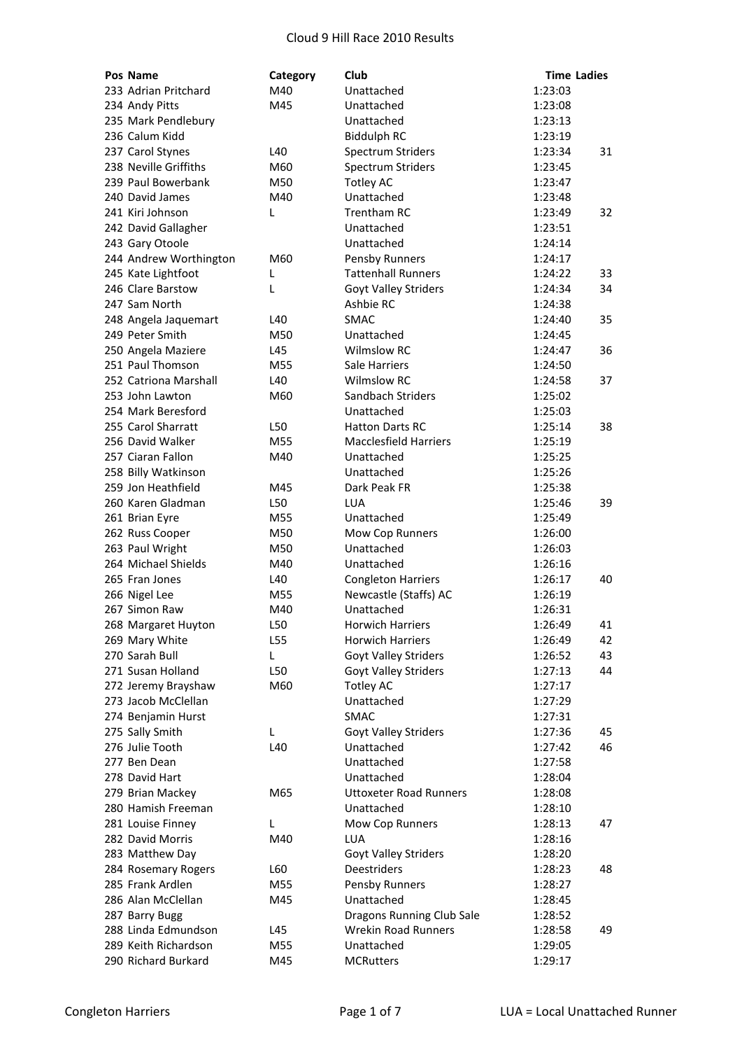| Pos Name               | Category | Club                          | <b>Time Ladies</b> |    |
|------------------------|----------|-------------------------------|--------------------|----|
| 233 Adrian Pritchard   | M40      | Unattached                    | 1:23:03            |    |
| 234 Andy Pitts         | M45      | Unattached                    | 1:23:08            |    |
| 235 Mark Pendlebury    |          | Unattached                    | 1:23:13            |    |
| 236 Calum Kidd         |          | <b>Biddulph RC</b>            | 1:23:19            |    |
| 237 Carol Stynes       | L40      | <b>Spectrum Striders</b>      | 1:23:34            | 31 |
| 238 Neville Griffiths  | M60      | <b>Spectrum Striders</b>      | 1:23:45            |    |
| 239 Paul Bowerbank     | M50      | <b>Totley AC</b>              | 1:23:47            |    |
| 240 David James        | M40      | Unattached                    | 1:23:48            |    |
| 241 Kiri Johnson       | L        | <b>Trentham RC</b>            | 1:23:49            | 32 |
| 242 David Gallagher    |          | Unattached                    | 1:23:51            |    |
| 243 Gary Otoole        |          | Unattached                    | 1:24:14            |    |
| 244 Andrew Worthington | M60      | Pensby Runners                | 1:24:17            |    |
| 245 Kate Lightfoot     | L        | <b>Tattenhall Runners</b>     | 1:24:22            | 33 |
| 246 Clare Barstow      | L        | Goyt Valley Striders          | 1:24:34            | 34 |
| 247 Sam North          |          | Ashbie RC                     | 1:24:38            |    |
| 248 Angela Jaquemart   | L40      | <b>SMAC</b>                   | 1:24:40            | 35 |
| 249 Peter Smith        | M50      | Unattached                    | 1:24:45            |    |
| 250 Angela Maziere     | L45      | <b>Wilmslow RC</b>            | 1:24:47            | 36 |
| 251 Paul Thomson       | M55      | Sale Harriers                 | 1:24:50            |    |
| 252 Catriona Marshall  | L40      | <b>Wilmslow RC</b>            | 1:24:58            | 37 |
| 253 John Lawton        | M60      | Sandbach Striders             | 1:25:02            |    |
| 254 Mark Beresford     |          | Unattached                    | 1:25:03            |    |
| 255 Carol Sharratt     | L50      | <b>Hatton Darts RC</b>        | 1:25:14            | 38 |
| 256 David Walker       | M55      | <b>Macclesfield Harriers</b>  | 1:25:19            |    |
| 257 Ciaran Fallon      | M40      | Unattached                    | 1:25:25            |    |
| 258 Billy Watkinson    |          | Unattached                    | 1:25:26            |    |
| 259 Jon Heathfield     | M45      | Dark Peak FR                  | 1:25:38            |    |
| 260 Karen Gladman      | L50      | LUA                           | 1:25:46            | 39 |
| 261 Brian Eyre         | M55      | Unattached                    | 1:25:49            |    |
| 262 Russ Cooper        | M50      | Mow Cop Runners               | 1:26:00            |    |
| 263 Paul Wright        | M50      | Unattached                    | 1:26:03            |    |
| 264 Michael Shields    | M40      | Unattached                    | 1:26:16            |    |
| 265 Fran Jones         | L40      | <b>Congleton Harriers</b>     | 1:26:17            | 40 |
| 266 Nigel Lee          | M55      | Newcastle (Staffs) AC         | 1:26:19            |    |
| 267 Simon Raw          | M40      | Unattached                    | 1:26:31            |    |
| 268 Margaret Huyton    | L50      | Horwich Harriers              | 1:26:49            | 41 |
| 269 Mary White         | L55      | <b>Horwich Harriers</b>       | 1:26:49            | 42 |
| 270 Sarah Bull         | L.       | Goyt Valley Striders          | 1:26:52            | 43 |
| 271 Susan Holland      | L50      | Goyt Valley Striders          | 1:27:13            | 44 |
| 272 Jeremy Brayshaw    | M60      | <b>Totley AC</b>              | 1:27:17            |    |
| 273 Jacob McClellan    |          | Unattached                    | 1:27:29            |    |
| 274 Benjamin Hurst     |          | SMAC                          | 1:27:31            |    |
| 275 Sally Smith        | L        | <b>Goyt Valley Striders</b>   | 1:27:36            | 45 |
| 276 Julie Tooth        | L40      | Unattached                    | 1:27:42            | 46 |
| 277 Ben Dean           |          | Unattached                    | 1:27:58            |    |
| 278 David Hart         |          | Unattached                    | 1:28:04            |    |
| 279 Brian Mackey       | M65      | <b>Uttoxeter Road Runners</b> | 1:28:08            |    |
| 280 Hamish Freeman     |          | Unattached                    | 1:28:10            |    |
| 281 Louise Finney      | L        | Mow Cop Runners               | 1:28:13            | 47 |
| 282 David Morris       | M40      | LUA                           | 1:28:16            |    |
| 283 Matthew Day        |          | <b>Goyt Valley Striders</b>   | 1:28:20            |    |
| 284 Rosemary Rogers    | L60      | Deestriders                   | 1:28:23            | 48 |
| 285 Frank Ardlen       | M55      | Pensby Runners                | 1:28:27            |    |
| 286 Alan McClellan     | M45      | Unattached                    | 1:28:45            |    |
| 287 Barry Bugg         |          | Dragons Running Club Sale     | 1:28:52            |    |
| 288 Linda Edmundson    | L45      | <b>Wrekin Road Runners</b>    | 1:28:58            | 49 |
| 289 Keith Richardson   | M55      | Unattached                    | 1:29:05            |    |
| 290 Richard Burkard    | M45      | <b>MCRutters</b>              | 1:29:17            |    |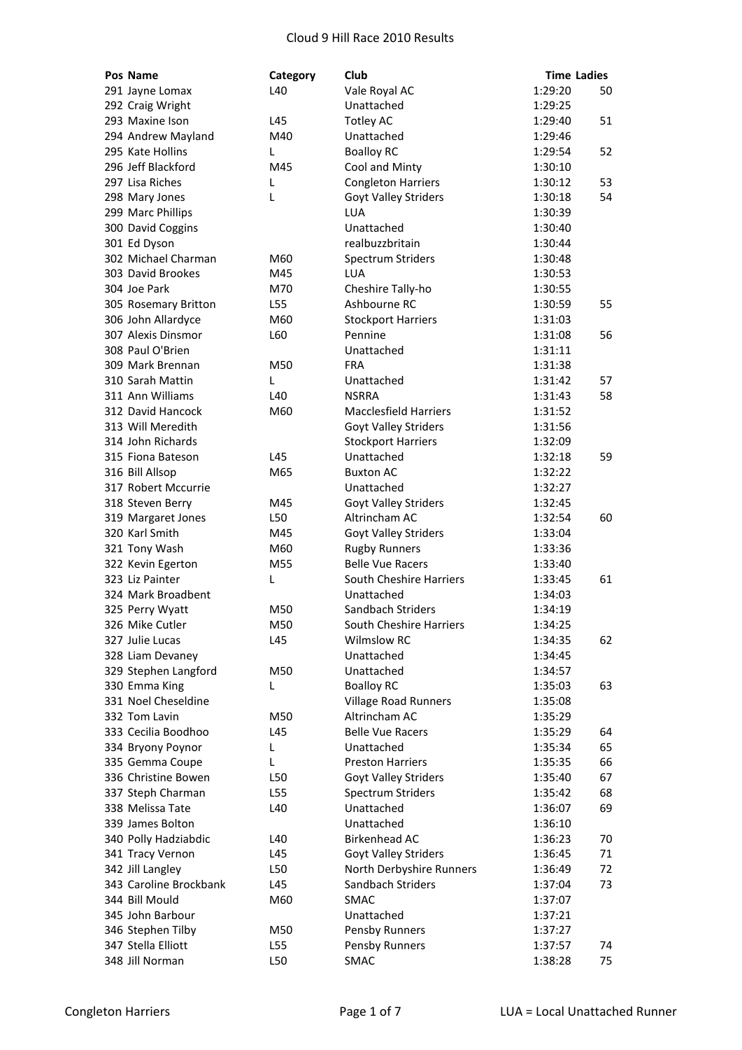| Pos Name               | Category   | Club                         | <b>Time Ladies</b> |
|------------------------|------------|------------------------------|--------------------|
| 291 Jayne Lomax        | L40        | Vale Royal AC                | 1:29:20<br>50      |
| 292 Craig Wright       |            | Unattached                   | 1:29:25            |
| 293 Maxine Ison        | L45        | <b>Totley AC</b>             | 1:29:40<br>51      |
| 294 Andrew Mayland     | M40        | Unattached                   | 1:29:46            |
| 295 Kate Hollins       | L          | <b>Boalloy RC</b>            | 1:29:54<br>52      |
| 296 Jeff Blackford     | M45        | Cool and Minty               | 1:30:10            |
| 297 Lisa Riches        | L          | <b>Congleton Harriers</b>    | 1:30:12<br>53      |
| 298 Mary Jones         | L          | <b>Goyt Valley Striders</b>  | 54<br>1:30:18      |
| 299 Marc Phillips      |            | LUA                          | 1:30:39            |
| 300 David Coggins      |            | Unattached                   | 1:30:40            |
| 301 Ed Dyson           |            | realbuzzbritain              | 1:30:44            |
| 302 Michael Charman    | M60        | <b>Spectrum Striders</b>     | 1:30:48            |
| 303 David Brookes      | M45        | LUA                          | 1:30:53            |
| 304 Joe Park           | M70        | Cheshire Tally-ho            | 1:30:55            |
| 305 Rosemary Britton   | L55        | Ashbourne RC                 | 1:30:59<br>55      |
| 306 John Allardyce     | M60        | <b>Stockport Harriers</b>    | 1:31:03            |
| 307 Alexis Dinsmor     | L60        | Pennine                      | 56<br>1:31:08      |
| 308 Paul O'Brien       |            | Unattached                   | 1:31:11            |
| 309 Mark Brennan       | M50        | <b>FRA</b>                   | 1:31:38            |
| 310 Sarah Mattin       | L          | Unattached                   | 1:31:42<br>57      |
| 311 Ann Williams       | L40        | <b>NSRRA</b>                 | 1:31:43<br>58      |
| 312 David Hancock      | M60        | <b>Macclesfield Harriers</b> | 1:31:52            |
| 313 Will Meredith      |            | <b>Goyt Valley Striders</b>  | 1:31:56            |
| 314 John Richards      |            | <b>Stockport Harriers</b>    | 1:32:09            |
|                        |            | Unattached                   |                    |
| 315 Fiona Bateson      | L45<br>M65 | <b>Buxton AC</b>             | 59<br>1:32:18      |
| 316 Bill Allsop        |            |                              | 1:32:22            |
| 317 Robert Mccurrie    |            | Unattached                   | 1:32:27            |
| 318 Steven Berry       | M45        | <b>Goyt Valley Striders</b>  | 1:32:45            |
| 319 Margaret Jones     | L50        | Altrincham AC                | 1:32:54<br>60      |
| 320 Karl Smith         | M45        | <b>Goyt Valley Striders</b>  | 1:33:04            |
| 321 Tony Wash          | M60        | <b>Rugby Runners</b>         | 1:33:36            |
| 322 Kevin Egerton      | M55        | <b>Belle Vue Racers</b>      | 1:33:40            |
| 323 Liz Painter        | L          | South Cheshire Harriers      | 1:33:45<br>61      |
| 324 Mark Broadbent     |            | Unattached                   | 1:34:03            |
| 325 Perry Wyatt        | M50        | Sandbach Striders            | 1:34:19            |
| 326 Mike Cutler        | M50        | South Cheshire Harriers      | 1:34:25            |
| 327 Julie Lucas        | L45        | Wilmslow RC                  | 62<br>1:34:35      |
| 328 Liam Devaney       |            | Unattached                   | 1:34:45            |
| 329 Stephen Langford   | M50        | Unattached                   | 1:34:57            |
| 330 Emma King          | L          | <b>Boalloy RC</b>            | 1:35:03<br>63      |
| 331 Noel Cheseldine    |            | <b>Village Road Runners</b>  | 1:35:08            |
| 332 Tom Lavin          | M50        | Altrincham AC                | 1:35:29            |
| 333 Cecilia Boodhoo    | L45        | <b>Belle Vue Racers</b>      | 1:35:29<br>64      |
| 334 Bryony Poynor      | L          | Unattached                   | 65<br>1:35:34      |
| 335 Gemma Coupe        | L          | <b>Preston Harriers</b>      | 1:35:35<br>66      |
| 336 Christine Bowen    | L50        | <b>Goyt Valley Striders</b>  | 1:35:40<br>67      |
| 337 Steph Charman      | L55        | <b>Spectrum Striders</b>     | 68<br>1:35:42      |
| 338 Melissa Tate       | L40        | Unattached                   | 69<br>1:36:07      |
| 339 James Bolton       |            | Unattached                   | 1:36:10            |
| 340 Polly Hadziabdic   | L40        | Birkenhead AC                | 1:36:23<br>70      |
| 341 Tracy Vernon       | L45        | <b>Goyt Valley Striders</b>  | 1:36:45<br>71      |
| 342 Jill Langley       | L50        | North Derbyshire Runners     | 72<br>1:36:49      |
| 343 Caroline Brockbank | L45        | Sandbach Striders            | 73<br>1:37:04      |
| 344 Bill Mould         | M60        | <b>SMAC</b>                  | 1:37:07            |
| 345 John Barbour       |            | Unattached                   | 1:37:21            |
| 346 Stephen Tilby      | M50        | Pensby Runners               | 1:37:27            |
| 347 Stella Elliott     | L55        | Pensby Runners               | 1:37:57<br>74      |
| 348 Jill Norman        | L50        | SMAC                         | 1:38:28<br>75      |
|                        |            |                              |                    |